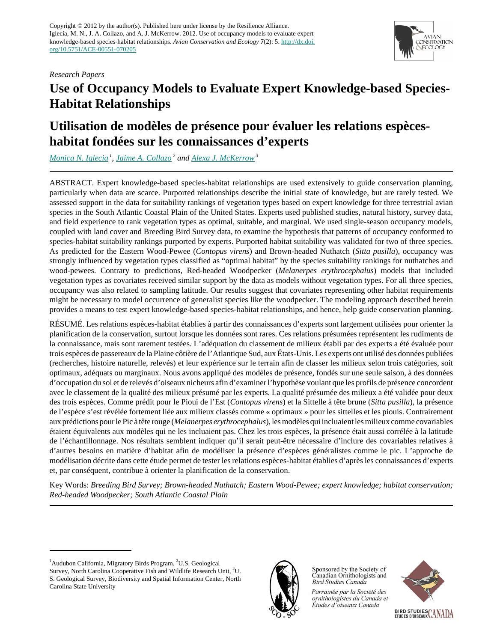## *Research Papers*



# **Use of Occupancy Models to Evaluate Expert Knowledge-based Species-Habitat Relationships**

## **Utilisation de modèles de présence pour évaluer les relations espèceshabitat fondées sur les connaissances d'experts**

*[Monica N. Iglecia](mailto:monicaiglecia@gmail.com)<sup>1</sup>* , *[Jaime A. Collazo](mailto:jaime_collazo@ncsu.edu)<sup>2</sup> and [Alexa J. McKerrow](mailto:alexa_mckerrow@ncsu.edu)<sup>3</sup>*

ABSTRACT. Expert knowledge-based species-habitat relationships are used extensively to guide conservation planning, particularly when data are scarce. Purported relationships describe the initial state of knowledge, but are rarely tested. We assessed support in the data for suitability rankings of vegetation types based on expert knowledge for three terrestrial avian species in the South Atlantic Coastal Plain of the United States. Experts used published studies, natural history, survey data, and field experience to rank vegetation types as optimal, suitable, and marginal. We used single-season occupancy models, coupled with land cover and Breeding Bird Survey data, to examine the hypothesis that patterns of occupancy conformed to species-habitat suitability rankings purported by experts. Purported habitat suitability was validated for two of three species. As predicted for the Eastern Wood-Pewee (*Contopus virens*) and Brown-headed Nuthatch (*Sitta pusilla*), occupancy was strongly influenced by vegetation types classified as "optimal habitat" by the species suitability rankings for nuthatches and wood-pewees. Contrary to predictions, Red-headed Woodpecker (*Melanerpes erythrocephalus*) models that included vegetation types as covariates received similar support by the data as models without vegetation types. For all three species, occupancy was also related to sampling latitude. Our results suggest that covariates representing other habitat requirements might be necessary to model occurrence of generalist species like the woodpecker. The modeling approach described herein provides a means to test expert knowledge-based species-habitat relationships, and hence, help guide conservation planning.

RÉSUMÉ. Les relations espèces-habitat établies à partir des connaissances d'experts sont largement utilisées pour orienter la planification de la conservation, surtout lorsque les données sont rares. Ces relations présumées représentent les rudiments de la connaissance, mais sont rarement testées. L'adéquation du classement de milieux établi par des experts a été évaluée pour trois espèces de passereaux de la Plaine côtière de l'Atlantique Sud, aux États-Unis. Les experts ont utilisé des données publiées (recherches, histoire naturelle, relevés) et leur expérience sur le terrain afin de classer les milieux selon trois catégories, soit optimaux, adéquats ou marginaux. Nous avons appliqué des modèles de présence, fondés sur une seule saison, à des données d'occupation du sol et de relevés d'oiseaux nicheurs afin d'examiner l'hypothèse voulant que les profils de présence concordent avec le classement de la qualité des milieux présumé par les experts. La qualité présumée des milieux a été validée pour deux des trois espèces. Comme prédit pour le Pioui de l'Est (*Contopus virens*) et la Sittelle à tête brune (*Sitta pusilla*), la présence de l'espèce s'est révélée fortement liée aux milieux classés comme « optimaux » pour les sittelles et les piouis. Contrairement aux prédictions pour le Pic à tête rouge (*Melanerpes erythrocephalus*), les modèles qui incluaient les milieux comme covariables étaient équivalents aux modèles qui ne les incluaient pas. Chez les trois espèces, la présence était aussi corrélée à la latitude de l'échantillonnage. Nos résultats semblent indiquer qu'il serait peut-être nécessaire d'inclure des covariables relatives à d'autres besoins en matière d'habitat afin de modéliser la présence d'espèces généralistes comme le pic. L'approche de modélisation décrite dans cette étude permet de tester les relations espèces-habitat établies d'après les connaissances d'experts et, par conséquent, contribue à orienter la planification de la conservation.

Key Words: *Breeding Bird Survey; Brown-headed Nuthatch; Eastern Wood-Pewee; expert knowledge; habitat conservation; Red-headed Woodpecker; South Atlantic Coastal Plain*

 $1$ Audubon California, Migratory Birds Program,  $2$ U.S. Geological Survey, North Carolina Cooperative Fish and Wildlife Research Unit, <sup>3</sup>U. S. Geological Survey, Biodiversity and Spatial Information Center, North Carolina State University



Sponsored by the Society of Canadian Ornithologists and **Bird Studies Canada** 

Parrainée par la Société des ornithologistes du Canada et Études d'oiseaux Canada

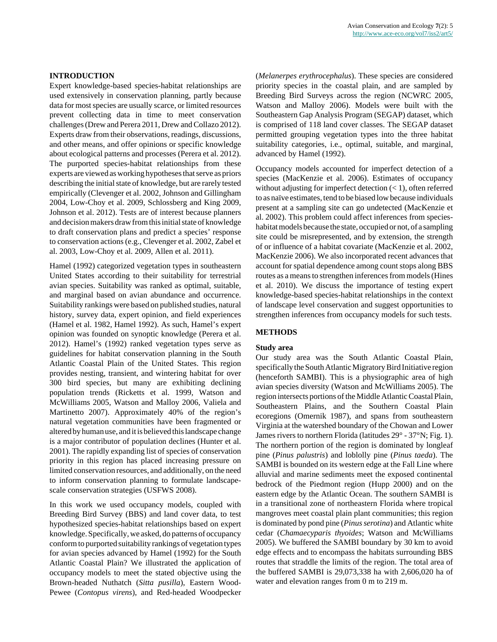## **INTRODUCTION**

Expert knowledge-based species-habitat relationships are used extensively in conservation planning, partly because data for most species are usually scarce, or limited resources prevent collecting data in time to meet conservation challenges (Drew and Perera 2011, Drew and Collazo 2012). Experts draw from their observations, readings, discussions, and other means, and offer opinions or specific knowledge about ecological patterns and processes (Perera et al. 2012). The purported species-habitat relationships from these experts are viewed as working hypotheses that serve as priors describing the initial state of knowledge, but are rarely tested empirically (Clevenger et al. 2002, Johnson and Gillingham 2004, Low-Choy et al. 2009, Schlossberg and King 2009, Johnson et al. 2012). Tests are of interest because planners and decision makers draw from this initial state of knowledge to draft conservation plans and predict a species' response to conservation actions (e.g., Clevenger et al. 2002, Zabel et al. 2003, Low-Choy et al. 2009, Allen et al. 2011).

Hamel (1992) categorized vegetation types in southeastern United States according to their suitability for terrestrial avian species. Suitability was ranked as optimal, suitable, and marginal based on avian abundance and occurrence. Suitability rankings were based on published studies, natural history, survey data, expert opinion, and field experiences (Hamel et al. 1982, Hamel 1992). As such, Hamel's expert opinion was founded on synoptic knowledge (Perera et al. 2012). Hamel's (1992) ranked vegetation types serve as guidelines for habitat conservation planning in the South Atlantic Coastal Plain of the United States. This region provides nesting, transient, and wintering habitat for over 300 bird species, but many are exhibiting declining population trends (Ricketts et al. 1999, Watson and McWilliams 2005, Watson and Malloy 2006, Valiela and Martinetto 2007). Approximately 40% of the region's natural vegetation communities have been fragmented or altered by human use, and it is believed this landscape change is a major contributor of population declines (Hunter et al. 2001). The rapidly expanding list of species of conservation priority in this region has placed increasing pressure on limited conservation resources, and additionally, on the need to inform conservation planning to formulate landscapescale conservation strategies (USFWS 2008).

In this work we used occupancy models, coupled with Breeding Bird Survey (BBS) and land cover data, to test hypothesized species-habitat relationships based on expert knowledge. Specifically, we asked, do patterns of occupancy conform to purported suitability rankings of vegetation types for avian species advanced by Hamel (1992) for the South Atlantic Coastal Plain? We illustrated the application of occupancy models to meet the stated objective using the Brown-headed Nuthatch (*Sitta pusilla*), Eastern Wood-Pewee (*Contopus virens*), and Red-headed Woodpecker (*Melanerpes erythrocephalus*). These species are considered priority species in the coastal plain, and are sampled by Breeding Bird Surveys across the region (NCWRC 2005, Watson and Malloy 2006). Models were built with the Southeastern Gap Analysis Program (SEGAP) dataset, which is comprised of 118 land cover classes. The SEGAP dataset permitted grouping vegetation types into the three habitat suitability categories, i.e., optimal, suitable, and marginal, advanced by Hamel (1992).

Occupancy models accounted for imperfect detection of a species (MacKenzie et al. 2006). Estimates of occupancy without adjusting for imperfect detection  $(< 1)$ , often referred to as naïve estimates, tend to be biased low because individuals present at a sampling site can go undetected (MacKenzie et al. 2002). This problem could affect inferences from specieshabitat models because the state, occupied or not, of a sampling site could be misrepresented, and by extension, the strength of or influence of a habitat covariate (MacKenzie et al. 2002, MacKenzie 2006). We also incorporated recent advances that account for spatial dependence among count stops along BBS routes as a means to strengthen inferences from models (Hines et al. 2010). We discuss the importance of testing expert knowledge-based species-habitat relationships in the context of landscape level conservation and suggest opportunities to strengthen inferences from occupancy models for such tests.

#### **METHODS**

#### **Study area**

Our study area was the South Atlantic Coastal Plain, specifically the South Atlantic Migratory Bird Initiative region (henceforth SAMBI). This is a physiographic area of high avian species diversity (Watson and McWilliams 2005). The region intersects portions of the Middle Atlantic Coastal Plain, Southeastern Plains, and the Southern Coastal Plain ecoregions (Omernik 1987), and spans from southeastern Virginia at the watershed boundary of the Chowan and Lower James rivers to northern Florida (latitudes 29° - 37°N; Fig. 1). The northern portion of the region is dominated by longleaf pine (*Pinus palustris*) and loblolly pine (*Pinus taeda*). The SAMBI is bounded on its western edge at the Fall Line where alluvial and marine sediments meet the exposed continental bedrock of the Piedmont region (Hupp 2000) and on the eastern edge by the Atlantic Ocean. The southern SAMBI is in a transitional zone of northeastern Florida where tropical mangroves meet coastal plain plant communities; this region is dominated by pond pine (*Pinus serotina*) and Atlantic white cedar (*Chamaecyparis thyoides*; Watson and McWilliams 2005). We buffered the SAMBI boundary by 30 km to avoid edge effects and to encompass the habitats surrounding BBS routes that straddle the limits of the region. The total area of the buffered SAMBI is 29,073,338 ha with 2,606,020 ha of water and elevation ranges from 0 m to 219 m.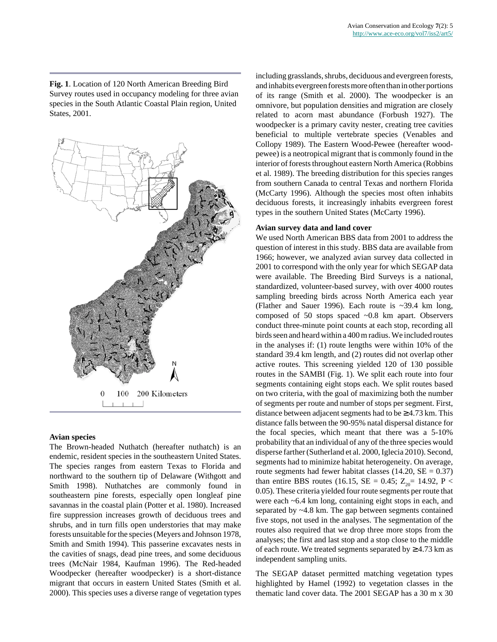**Fig. 1**. Location of 120 North American Breeding Bird Survey routes used in occupancy modeling for three avian species in the South Atlantic Coastal Plain region, United States, 2001.



#### **Avian species**

The Brown-headed Nuthatch (hereafter nuthatch) is an endemic, resident species in the southeastern United States. The species ranges from eastern Texas to Florida and northward to the southern tip of Delaware (Withgott and Smith 1998). Nuthatches are commonly found in southeastern pine forests, especially open longleaf pine savannas in the coastal plain (Potter et al. 1980). Increased fire suppression increases growth of deciduous trees and shrubs, and in turn fills open understories that may make forests unsuitable for the species (Meyers and Johnson 1978, Smith and Smith 1994). This passerine excavates nests in the cavities of snags, dead pine trees, and some deciduous trees (McNair 1984, Kaufman 1996). The Red-headed Woodpecker (hereafter woodpecker) is a short-distance migrant that occurs in eastern United States (Smith et al. 2000). This species uses a diverse range of vegetation types including grasslands, shrubs, deciduous and evergreen forests, and inhabits evergreen forests more often than in other portions of its range (Smith et al. 2000). The woodpecker is an omnivore, but population densities and migration are closely related to acorn mast abundance (Forbush 1927). The woodpecker is a primary cavity nester, creating tree cavities beneficial to multiple vertebrate species (Venables and Collopy 1989). The Eastern Wood-Pewee (hereafter woodpewee) is a neotropical migrant that is commonly found in the interior of forests throughout eastern North America (Robbins et al. 1989). The breeding distribution for this species ranges from southern Canada to central Texas and northern Florida (McCarty 1996). Although the species most often inhabits deciduous forests, it increasingly inhabits evergreen forest types in the southern United States (McCarty 1996).

#### **Avian survey data and land cover**

We used North American BBS data from 2001 to address the question of interest in this study. BBS data are available from 1966; however, we analyzed avian survey data collected in 2001 to correspond with the only year for which SEGAP data were available. The Breeding Bird Surveys is a national, standardized, volunteer-based survey, with over 4000 routes sampling breeding birds across North America each year (Flather and Sauer 1996). Each route is ~39.4 km long, composed of 50 stops spaced ~0.8 km apart. Observers conduct three-minute point counts at each stop, recording all birds seen and heard within a 400 m radius. We included routes in the analyses if: (1) route lengths were within 10% of the standard 39.4 km length, and (2) routes did not overlap other active routes. This screening yielded 120 of 130 possible routes in the SAMBI (Fig. 1). We split each route into four segments containing eight stops each. We split routes based on two criteria, with the goal of maximizing both the number of segments per route and number of stops per segment. First, distance between adjacent segments had to be  $\geq 4.73$  km. This distance falls between the 90-95% natal dispersal distance for the focal species, which meant that there was a 5-10% probability that an individual of any of the three species would disperse farther (Sutherland et al. 2000, Iglecia 2010). Second, segments had to minimize habitat heterogeneity. On average, route segments had fewer habitat classes  $(14.20, SE = 0.37)$ than entire BBS routes (16.15, SE = 0.45; Z<sub>20</sub>= 14.92, P < 0.05). These criteria yielded four route segments per route that were each ~6.4 km long, containing eight stops in each, and separated by ~4.8 km. The gap between segments contained five stops, not used in the analyses. The segmentation of the routes also required that we drop three more stops from the analyses; the first and last stop and a stop close to the middle of each route. We treated segments separated by  $\geq 4.73$  km as independent sampling units.

The SEGAP dataset permitted matching vegetation types highlighted by Hamel (1992) to vegetation classes in the thematic land cover data. The 2001 SEGAP has a 30 m x 30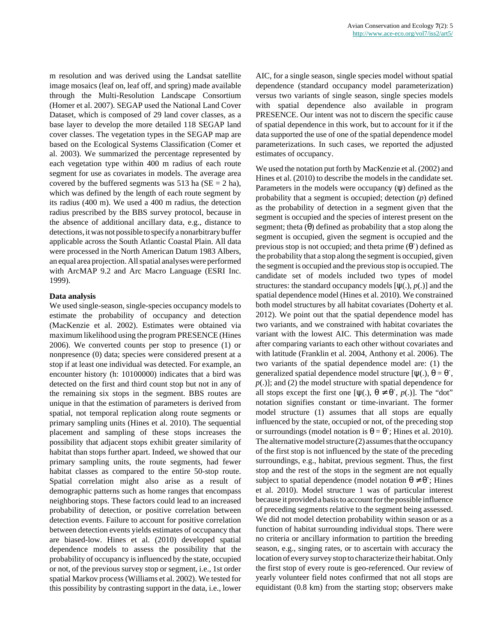m resolution and was derived using the Landsat satellite image mosaics (leaf on, leaf off, and spring) made available through the Multi-Resolution Landscape Consortium (Homer et al. 2007). SEGAP used the National Land Cover Dataset, which is composed of 29 land cover classes, as a base layer to develop the more detailed 118 SEGAP land cover classes. The vegetation types in the SEGAP map are based on the Ecological Systems Classification (Comer et al. 2003). We summarized the percentage represented by each vegetation type within 400 m radius of each route segment for use as covariates in models. The average area covered by the buffered segments was 513 ha ( $SE = 2$  ha), which was defined by the length of each route segment by its radius (400 m). We used a 400 m radius, the detection radius prescribed by the BBS survey protocol, because in the absence of additional ancillary data, e.g., distance to detections, it was not possible to specify a nonarbitrary buffer applicable across the South Atlantic Coastal Plain. All data were processed in the North American Datum 1983 Albers, an equal area projection. All spatial analyses were performed with ArcMAP 9.2 and Arc Macro Language (ESRI Inc. 1999).

#### **Data analysis**

We used single-season, single-species occupancy models to estimate the probability of occupancy and detection (MacKenzie et al. 2002). Estimates were obtained via maximum likelihood using the program PRESENCE (Hines 2006). We converted counts per stop to presence (1) or nonpresence (0) data; species were considered present at a stop if at least one individual was detected. For example, an encounter history (h: 10100000) indicates that a bird was detected on the first and third count stop but not in any of the remaining six stops in the segment. BBS routes are unique in that the estimation of parameters is derived from spatial, not temporal replication along route segments or primary sampling units (Hines et al. 2010). The sequential placement and sampling of these stops increases the possibility that adjacent stops exhibit greater similarity of habitat than stops further apart. Indeed, we showed that our primary sampling units, the route segments, had fewer habitat classes as compared to the entire 50-stop route. Spatial correlation might also arise as a result of demographic patterns such as home ranges that encompass neighboring stops. These factors could lead to an increased probability of detection, or positive correlation between detection events. Failure to account for positive correlation between detection events yields estimates of occupancy that are biased-low. Hines et al. (2010) developed spatial dependence models to assess the possibility that the probability of occupancy is influenced by the state, occupied or not, of the previous survey stop or segment, i.e., 1st order spatial Markov process (Williams et al. 2002). We tested for this possibility by contrasting support in the data, i.e., lower

AIC, for a single season, single species model without spatial dependence (standard occupancy model parameterization) versus two variants of single season, single species models with spatial dependence also available in program PRESENCE. Our intent was not to discern the specific cause of spatial dependence in this work, but to account for it if the data supported the use of one of the spatial dependence model parameterizations. In such cases, we reported the adjusted estimates of occupancy.

We used the notation put forth by MacKenzie et al. (2002) and Hines et al. (2010) to describe the models in the candidate set. Parameters in the models were occupancy  $(\psi)$  defined as the probability that a segment is occupied; detection (*p*) defined as the probability of detection in a segment given that the segment is occupied and the species of interest present on the segment; theta  $(\theta)$  defined as probability that a stop along the segment is occupied, given the segment is occupied and the previous stop is not occupied; and theta prime  $(\theta)$  defined as the probability that a stop along the segment is occupied, given the segment is occupied and the previous stop is occupied. The candidate set of models included two types of model structures: the standard occupancy models  $[\psi(.)$ ,  $p(.)$  and the spatial dependence model (Hines et al. 2010). We constrained both model structures by all habitat covariates (Doherty et al. 2012). We point out that the spatial dependence model has two variants, and we constrained with habitat covariates the variant with the lowest AIC. This determination was made after comparing variants to each other without covariates and with latitude (Franklin et al. 2004, Anthony et al. 2006). The two variants of the spatial dependence model are: (1) the generalized spatial dependence model structure [ψ(.),  $θ = θ$ , *p*(.)]; and (2) the model structure with spatial dependence for all stops except the first one  $[\psi(.)$ ,  $\theta \neq \theta$ ,  $p(.)$ ]. The "dot" notation signifies constant or time-invariant. The former model structure (1) assumes that all stops are equally influenced by the state, occupied or not, of the preceding stop or surroundings (model notation is  $\theta = \theta$ ); Hines et al. 2010). The alternative model structure (2) assumes that the occupancy of the first stop is not influenced by the state of the preceding surroundings, e.g., habitat, previous segment. Thus, the first stop and the rest of the stops in the segment are not equally subject to spatial dependence (model notation  $\theta \neq \theta$ ); Hines et al. 2010). Model structure 1 was of particular interest because it provided a basis to account for the possible influence of preceding segments relative to the segment being assessed. We did not model detection probability within season or as a function of habitat surrounding individual stops. There were no criteria or ancillary information to partition the breeding season, e.g., singing rates, or to ascertain with accuracy the location of every survey stop to characterize their habitat. Only the first stop of every route is geo-referenced. Our review of yearly volunteer field notes confirmed that not all stops are equidistant (0.8 km) from the starting stop; observers make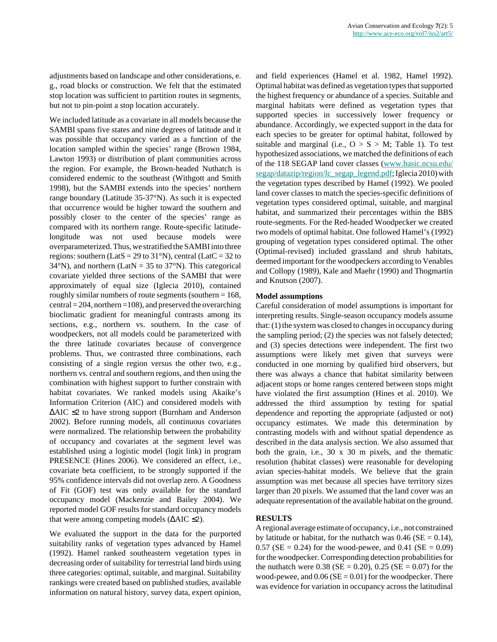adjustments based on landscape and other considerations, e. g., road blocks or construction. We felt that the estimated stop location was sufficient to partition routes in segments, but not to pin-point a stop location accurately.

We included latitude as a covariate in all models because the SAMBI spans five states and nine degrees of latitude and it was possible that occupancy varied as a function of the location sampled within the species' range (Brown 1984, Lawton 1993) or distribution of plant communities across the region. For example, the Brown-headed Nuthatch is considered endemic to the southeast (Withgott and Smith 1998), but the SAMBI extends into the species' northern range boundary (Latitude 35-37°N). As such it is expected that occurrence would be higher toward the southern and possibly closer to the center of the species' range as compared with its northern range. Route-specific latitudelongitude was not used because models were overparameterized. Thus, we stratified the SAMBI into three regions: southern (LatS = 29 to 31 $\degree$ N), central (LatC = 32 to  $34°N$ ), and northern (LatN = 35 to 37°N). This categorical covariate yielded three sections of the SAMBI that were approximately of equal size (Iglecia 2010), contained roughly similar numbers of route segments (southern = 168, central = 204, northern =108), and preserved the overarching bioclimatic gradient for meaningful contrasts among its sections, e.g., northern vs. southern. In the case of woodpeckers, not all models could be parameterized with the three latitude covariates because of convergence problems. Thus, we contrasted three combinations, each consisting of a single region versus the other two, e.g., northern vs. central and southern regions, and then using the combination with highest support to further constrain with habitat covariates. We ranked models using Akaike's Information Criterion (AIC) and considered models with ∆AIC ≤2 to have strong support (Burnham and Anderson 2002). Before running models, all continuous covariates were normalized. The relationship between the probability of occupancy and covariates at the segment level was established using a logistic model (logit link) in program PRESENCE (Hines 2006). We considered an effect, i.e., covariate beta coefficient, to be strongly supported if the 95% confidence intervals did not overlap zero. A Goodness of Fit (GOF) test was only available for the standard occupancy model (Mackenzie and Bailey 2004). We reported model GOF results for standard occupancy models that were among competing models (∆AIC ≤2).

We evaluated the support in the data for the purported suitability ranks of vegetation types advanced by Hamel (1992). Hamel ranked southeastern vegetation types in decreasing order of suitability for terrestrial land birds using three categories: optimal, suitable, and marginal. Suitability rankings were created based on published studies, available information on natural history, survey data, expert opinion, and field experiences (Hamel et al. 1982, Hamel 1992). Optimal habitat was defined as vegetation types that supported the highest frequency or abundance of a species. Suitable and marginal habitats were defined as vegetation types that supported species in successively lower frequency or abundance. Accordingly, we expected support in the data for each species to be greater for optimal habitat, followed by suitable and marginal (i.e.,  $O > S > M$ ; Table 1). To test hypothesized associations, we matched the definitions of each of the 118 SEGAP land cover classes ([www.basic.ncsu.edu/](http://www.basic.ncsu.edu/segap/datazip/region/lc_segap_legend.pdf) [segap/datazip/region/lc\\_segap\\_legend.pdf](http://www.basic.ncsu.edu/segap/datazip/region/lc_segap_legend.pdf); Iglecia 2010) with the vegetation types described by Hamel (1992). We pooled land cover classes to match the species-specific definitions of vegetation types considered optimal, suitable, and marginal habitat, and summarized their percentages within the BBS route-segments. For the Red-headed Woodpecker we created two models of optimal habitat. One followed Hamel's (1992) grouping of vegetation types considered optimal. The other (Optimal-revised) included grassland and shrub habitats, deemed important for the woodpeckers according to Venables and Collopy (1989), Kale and Maehr (1990) and Thogmartin and Knutson (2007).

## **Model assumptions**

Careful consideration of model assumptions is important for interpreting results. Single-season occupancy models assume that: (1) the system was closed to changes in occupancy during the sampling period; (2) the species was not falsely detected; and (3) species detections were independent. The first two assumptions were likely met given that surveys were conducted in one morning by qualified bird observers, but there was always a chance that habitat similarity between adjacent stops or home ranges centered between stops might have violated the first assumption (Hines et al. 2010). We addressed the third assumption by testing for spatial dependence and reporting the appropriate (adjusted or not) occupancy estimates. We made this determination by contrasting models with and without spatial dependence as described in the data analysis section. We also assumed that both the grain, i.e., 30 x 30 m pixels, and the thematic resolution (habitat classes) were reasonable for developing avian species-habitat models. We believe that the grain assumption was met because all species have territory sizes larger than 20 pixels. We assumed that the land cover was an adequate representation of the available habitat on the ground.

#### **RESULTS**

A regional average estimate of occupancy, i.e., not constrained by latitude or habitat, for the nuthatch was  $0.46$  (SE = 0.14),  $0.57$  (SE = 0.24) for the wood-pewee, and 0.41 (SE = 0.09) for the woodpecker. Corresponding detection probabilities for the nuthatch were  $0.38$  (SE = 0.20), 0.25 (SE = 0.07) for the wood-pewee, and  $0.06$  (SE = 0.01) for the woodpecker. There was evidence for variation in occupancy across the latitudinal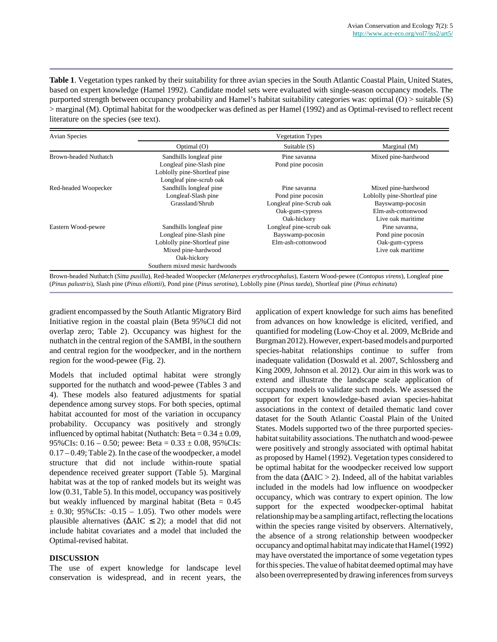**Table 1**. Vegetation types ranked by their suitability for three avian species in the South Atlantic Coastal Plain, United States, based on expert knowledge (Hamel 1992). Candidate model sets were evaluated with single-season occupancy models. The purported strength between occupancy probability and Hamel's habitat suitability categories was: optimal (O) > suitable (S) > marginal (M). Optimal habitat for the woodpecker was defined as per Hamel (1992) and as Optimal-revised to reflect recent literature on the species (see text).

| <b>Avian Species</b>         | <b>Vegetation Types</b>        |                         |                              |  |  |
|------------------------------|--------------------------------|-------------------------|------------------------------|--|--|
|                              | Optimal (O)                    | Suitable (S)            | Marginal (M)                 |  |  |
| <b>Brown-headed Nuthatch</b> | Sandhills longleaf pine        | Pine savanna            | Mixed pine-hardwood          |  |  |
|                              | Longleaf pine-Slash pine       | Pond pine pocosin       |                              |  |  |
|                              | Loblolly pine-Shortleaf pine   |                         |                              |  |  |
|                              | Longleaf pine-scrub oak        |                         |                              |  |  |
| Red-headed Woopecker         | Sandhills longleaf pine        | Pine savanna            | Mixed pine-hardwood          |  |  |
|                              | Longleaf-Slash pine            | Pond pine pocosin       | Loblolly pine-Shortleaf pine |  |  |
|                              | Grassland/Shrub                | Longleaf pine-Scrub oak | Bayswamp-pocosin             |  |  |
|                              |                                | Oak-gum-cypress         | Elm-ash-cottonwood           |  |  |
|                              |                                | Oak-hickory             | Live oak maritime            |  |  |
| Eastern Wood-pewee           | Sandhills longleaf pine        | Longleaf pine-scrub oak | Pine savanna,                |  |  |
|                              | Longleaf pine-Slash pine       | Bayswamp-pocosin        | Pond pine pocosin            |  |  |
|                              | Loblolly pine-Shortleaf pine   | Elm-ash-cottonwood      | Oak-gum-cypress              |  |  |
|                              | Mixed pine-hardwood            |                         | Live oak maritime            |  |  |
|                              | Oak-hickory                    |                         |                              |  |  |
|                              | Southern mixed mesic hardwoods |                         |                              |  |  |

Brown-headed Nuthatch (*Sitta pusilla*), Red-headed Woopecker (*Melanerpes erythrocephalus*), Eastern Wood-pewee (*Contopus virens*), Longleaf pine (*Pinus palustris*), Slash pine (*Pinus elliottii*), Pond pine (*Pinus serotina*), Loblolly pine (*Pinus taeda*), Shortleaf pine (*Pinus echinata*)

gradient encompassed by the South Atlantic Migratory Bird Initiative region in the coastal plain (Beta 95%CI did not overlap zero; Table 2). Occupancy was highest for the nuthatch in the central region of the SAMBI, in the southern and central region for the woodpecker, and in the northern region for the wood-pewee (Fig. 2).

Models that included optimal habitat were strongly supported for the nuthatch and wood-pewee (Tables 3 and 4). These models also featured adjustments for spatial dependence among survey stops. For both species, optimal habitat accounted for most of the variation in occupancy probability. Occupancy was positively and strongly influenced by optimal habitat (Nuthatch: Beta =  $0.34 \pm 0.09$ , 95%CIs:  $0.16 - 0.50$ ; pewee: Beta =  $0.33 \pm 0.08$ , 95%CIs: 0.17 – 0.49; Table 2). In the case of the woodpecker, a model structure that did not include within-route spatial dependence received greater support (Table 5). Marginal habitat was at the top of ranked models but its weight was low (0.31, Table 5). In this model, occupancy was positively but weakly influenced by marginal habitat (Beta  $= 0.45$  $\pm$  0.30; 95%CIs: -0.15 – 1.05). Two other models were plausible alternatives ( $\triangle AIC \leq 2$ ); a model that did not include habitat covariates and a model that included the Optimal-revised habitat.

## **DISCUSSION**

The use of expert knowledge for landscape level conservation is widespread, and in recent years, the application of expert knowledge for such aims has benefited from advances on how knowledge is elicited, verified, and quantified for modeling (Low-Choy et al. 2009, McBride and Burgman 2012). However, expert-based models and purported species-habitat relationships continue to suffer from inadequate validation (Doswald et al. 2007, Schlossberg and King 2009, Johnson et al. 2012). Our aim in this work was to extend and illustrate the landscape scale application of occupancy models to validate such models. We assessed the support for expert knowledge-based avian species-habitat associations in the context of detailed thematic land cover dataset for the South Atlantic Coastal Plain of the United States. Models supported two of the three purported specieshabitat suitability associations. The nuthatch and wood-pewee were positively and strongly associated with optimal habitat as proposed by Hamel (1992). Vegetation types considered to be optimal habitat for the woodpecker received low support from the data ( $\triangle AIC > 2$ ). Indeed, all of the habitat variables included in the models had low influence on woodpecker occupancy, which was contrary to expert opinion. The low support for the expected woodpecker-optimal habitat relationship may be a sampling artifact, reflecting the locations within the species range visited by observers. Alternatively, the absence of a strong relationship between woodpecker occupancy and optimal habitat may indicate that Hamel (1992) may have overstated the importance of some vegetation types for this species. The value of habitat deemed optimal may have also been overrepresented by drawing inferences from surveys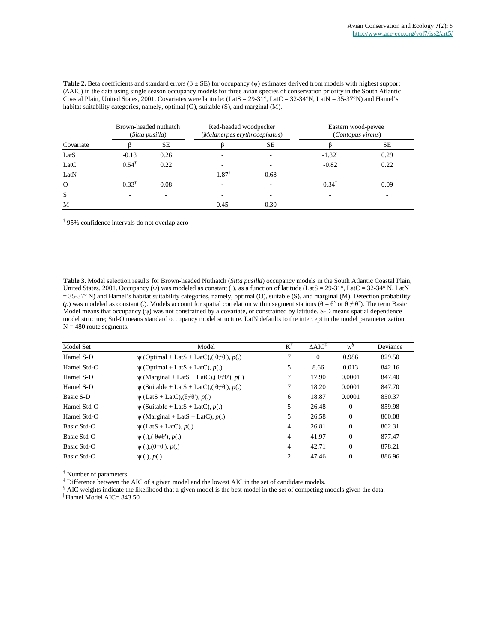| Covariate        | Brown-headed nuthatch<br>(Sitta pusilla) |           | Red-headed woodpecker<br>(Melanerpes erythrocephalus) |           | Eastern wood-pewee<br><i>(Contopus virens)</i> |      |
|------------------|------------------------------------------|-----------|-------------------------------------------------------|-----------|------------------------------------------------|------|
|                  |                                          | <b>SE</b> |                                                       | <b>SE</b> |                                                | SE   |
| Lat <sub>S</sub> | $-0.18$                                  | 0.26      |                                                       |           | $-1.82^{\dagger}$                              | 0.29 |
| LatC             | $0.54^{\dagger}$                         | 0.22      | ۰                                                     | ۰         | $-0.82$                                        | 0.22 |
| LatN             | ۰                                        | ۰         | $-1.87$ <sup>†</sup>                                  | 0.68      | ÷.                                             | ۰    |
| $\Omega$         | $0.33^{\dagger}$                         | 0.08      | $\overline{\phantom{a}}$                              |           | 0.34                                           | 0.09 |
| S                |                                          |           |                                                       |           |                                                |      |
| M                |                                          |           | 0.45                                                  | 0.30      |                                                |      |

**Table 2.** Beta coefficients and standard errors (β ± SE) for occupancy (ψ) estimates derived from models with highest support (∆AIC) in the data using single season occupancy models for three avian species of conservation priority in the South Atlantic Coastal Plain, United States, 2001. Covariates were latitude:  $(LatS = 29-31^\circ, LatC = 32-34^\circ N, LatN = 35-37^\circ N)$  and Hamel's habitat suitability categories, namely, optimal (O), suitable (S), and marginal (M).

† 95% confidence intervals do not overlap zero

**Table 3.** Model selection results for Brown-headed Nuthatch (*Sitta pusilla*) occupancy models in the South Atlantic Coastal Plain, United States, 2001. Occupancy ( $\psi$ ) was modeled as constant (.), as a function of latitude (LatS = 29-31°, LatC = 32-34° N, LatN = 35-37° N) and Hamel's habitat suitability categories, namely, optimal (O), suitable (S), and marginal (M). Detection probability (*p*) was modeled as constant (.). Models account for spatial correlation within segment stations ( $\theta = \theta$  or  $\theta \neq \theta$ ). The term Basic Model means that occupancy  $(\psi)$  was not constrained by a covariate, or constrained by latitude. S-D means spatial dependence model structure; Std-O means standard occupancy model structure. LatN defaults to the intercept in the model parameterization.  $N = 480$  route segments.

| Model Set   | Model                                                                      | $K^{\dagger}$  | $\triangle AIC^{\ddagger}$ | $w^{\S}$     | Deviance |
|-------------|----------------------------------------------------------------------------|----------------|----------------------------|--------------|----------|
| Hamel S-D   | $\psi$ (Optimal + LatS + LatC), $(\theta \neq \theta')$ , $p(.)^{\dagger}$ | $\overline{7}$ | $\Omega$                   | 0.986        | 829.50   |
| Hamel Std-O | $\psi$ (Optimal + LatS + LatC), $p(.)$                                     | 5              | 8.66                       | 0.013        | 842.16   |
| Hamel S-D   | $\psi$ (Marginal + LatS + LatC), $(\theta \neq \theta')$ , $p(.)$          | 7              | 17.90                      | 0.0001       | 847.40   |
| Hamel S-D   | $\psi$ (Suitable + LatS + LatC), $(\theta \neq \theta')$ , $p(.)$          | 7              | 18.20                      | 0.0001       | 847.70   |
| Basic S-D   | $\psi$ (LatS + LatC), $(\theta \neq \theta')$ , $p(.)$                     | 6              | 18.87                      | 0.0001       | 850.37   |
| Hamel Std-O | $\psi$ (Suitable + LatS + LatC), $p(.)$                                    | 5              | 26.48                      | $\mathbf{0}$ | 859.98   |
| Hamel Std-O | $\psi$ (Marginal + LatS + LatC), $p(.)$                                    | 5              | 26.58                      | $\mathbf{0}$ | 860.08   |
| Basic Std-O | $\psi$ (LatS + LatC), $p(.)$                                               | 4              | 26.81                      | $\mathbf{0}$ | 862.31   |
| Basic Std-O | $\psi$ (.), $(\theta \neq \theta')$ , $p(.)$                               | 4              | 41.97                      | $\mathbf{0}$ | 877.47   |
| Basic Std-O | $\psi$ (.), $(\theta = \theta')$ , $p(.)$                                  | 4              | 42.71                      | $\Omega$     | 878.21   |
| Basic Std-O | $\psi$ (.), $p(.)$                                                         | $\overline{c}$ | 47.46                      | $\Omega$     | 886.96   |

† Number of parameters

<sup>‡</sup> Difference between the AIC of a given model and the lowest AIC in the set of candidate models.

§ AIC weights indicate the likelihood that a given model is the best model in the set of competing models given the data.

<sup>|</sup> Hamel Model AIC= 843.50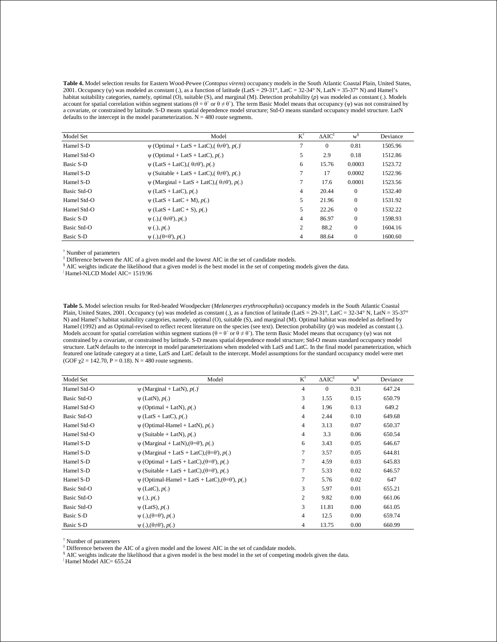**Table 4.** Model selection results for Eastern Wood-Pewee (*Contopus virens*) occupancy models in the South Atlantic Coastal Plain, United States, 2001. Occupancy (ψ) was modeled as constant (.), as a function of latitude (LatS = 29-31°, LatC = 32-34° N, LatN = 35-37° N) and Hamel's habitat suitability categories, namely, optimal (O), suitable (S), and marginal (M). Detection probability (*p*) was modeled as constant (.). Models account for spatial correlation within segment stations (θ = θ` or θ ≠ θ`). The term Basic Model means that occupancy (ψ) was not constrained by a covariate, or constrained by latitude. S-D means spatial dependence model structure; Std-O means standard occupancy model structure. LatN defaults to the intercept in the model parameterization.  $N = 480$  route segments.

| Model Set   | Model                                                                      | $K^{\dagger}$ | $\triangle AIC^{\ddagger}$ | $w^{\tilde{s}}$ | Deviance |
|-------------|----------------------------------------------------------------------------|---------------|----------------------------|-----------------|----------|
| Hamel S-D   | $\psi$ (Optimal + LatS + LatC), $(\theta \neq \theta')$ , $p(.)^{\dagger}$ |               | $\mathbf{0}$               | 0.81            | 1505.96  |
| Hamel Std-O | $\psi$ (Optimal + LatS + LatC), $p(.)$                                     | 5             | 2.9                        | 0.18            | 1512.86  |
| Basic S-D   | $\psi$ (LatS + LatC), $(\theta \neq \theta')$ , $p(.)$                     | 6             | 15.76                      | 0.0003          | 1523.72  |
| Hamel S-D   | $\psi$ (Suitable + LatS + LatC), $(\theta \neq \theta')$ , $p(.)$          |               | 17                         | 0.0002          | 1522.96  |
| Hamel S-D   | $\psi$ (Marginal + LatS + LatC), $(\theta \neq \theta')$ , $p(.)$          |               | 17.6                       | 0.0001          | 1523.56  |
| Basic Std-O | $\psi$ (LatS + LatC), $p(.)$                                               | 4             | 20.44                      | $\overline{0}$  | 1532.40  |
| Hamel Std-O | $\psi$ (LatS + LatC + M), $p(.)$                                           | 5             | 21.96                      | $\overline{0}$  | 1531.92  |
| Hamel Std-O | $\psi$ (LatS + LatC + S), $p(.)$                                           | 5             | 22.26                      | $\overline{0}$  | 1532.22  |
| Basic S-D   | $\psi$ (.), $(\theta \neq \theta')$ , $p(.)$                               | 4             | 86.97                      | $\overline{0}$  | 1598.93  |
| Basic Std-O | $\psi(.)$ , $p(.)$                                                         | 2             | 88.2                       | $\overline{0}$  | 1604.16  |
| Basic S-D   | $\psi(.)$ , $(\theta = \theta), p(.)$                                      | 4             | 88.64                      | $\mathbf{0}$    | 1600.60  |

† Number of parameters

‡ Difference between the AIC of a given model and the lowest AIC in the set of candidate models.

§ AIC weights indicate the likelihood that a given model is the best model in the set of competing models given the data.

| Hamel-NLCD Model AIC= 1519.96

**Table 5.** Model selection results for Red-headed Woodpecker (*Melanerpes erythrocephalus*) occupancy models in the South Atlantic Coastal Plain, United States, 2001. Occupancy (ψ) was modeled as constant (.), as a function of latitude (LatS = 29-31°, LatC = 32-34° N, LatN = 35-37° N) and Hamel's habitat suitability categories, namely, optimal (O), suitable (S), and marginal (M). Optimal habitat was modeled as defined by Hamel (1992) and as Optimal-revised to reflect recent literature on the species (see text). Detection probability (*p*) was modeled as constant (.). Models account for spatial correlation within segment stations ( $\theta = \theta$  or  $\theta \neq \theta$ ). The term Basic Model means that occupancy ( $\psi$ ) was not constrained by a covariate, or constrained by latitude. S-D means spatial dependence model structure; Std-O means standard occupancy model structure. LatN defaults to the intercept in model parameterizations when modeled with LatS and LatC. In the final model parameterization, which featured one latitude category at a time, LatS and LatC default to the intercept. Model assumptions for the standard occupancy model were met (GOF  $\gamma$ 2 = 142.70, P = 0.18). N = 480 route segments.

| Model Set   | Model                                                               | $K^{\dagger}$  | $\triangle AIC^{\ddagger}$ | $w^{\S}$ | Deviance |
|-------------|---------------------------------------------------------------------|----------------|----------------------------|----------|----------|
| Hamel Std-O | $\psi$ (Marginal + LatN), $p(.)^{\dagger}$                          | 4              | $\theta$                   | 0.31     | 647.24   |
| Basic Std-O | $\psi$ (LatN), $p(.)$                                               | 3              | 1.55                       | 0.15     | 650.79   |
| Hamel Std-O | $\psi$ (Optimal + LatN), $p(.)$                                     | $\overline{4}$ | 1.96                       | 0.13     | 649.2    |
| Basic Std-O | $\psi$ (LatS + LatC), $p(.)$                                        | $\overline{4}$ | 2.44                       | 0.10     | 649.68   |
| Hamel Std-O | $\psi$ (Optimal-Hamel + LatN), $p(.)$                               | $\overline{4}$ | 3.13                       | 0.07     | 650.37   |
| Hamel Std-O | $\psi$ (Suitable + LatN), $p(.)$                                    | $\overline{4}$ | 3.3                        | 0.06     | 650.54   |
| Hamel S-D   | $\psi$ (Marginal + LatN), $(\theta = \theta')$ , $p(.)$             | 6              | 3.43                       | 0.05     | 646.67   |
| Hamel S-D   | $\psi$ (Marginal + LatS + LatC), $(\theta = \theta')$ , $p(.)$      | 7              | 3.57                       | 0.05     | 644.81   |
| Hamel S-D   | $\psi$ (Optimal + LatS + LatC), $(\theta = \theta')$ , $p(.)$       | $\tau$         | 4.59                       | 0.03     | 645.83   |
| Hamel S-D   | $\psi$ (Suitable + LatS + LatC), $(\theta = \theta')$ , $p(.)$      | $\tau$         | 5.33                       | 0.02     | 646.57   |
| Hamel S-D   | $\psi$ (Optimal-Hamel + LatS + LatC), $(\theta = \theta')$ , $p(.)$ | $\tau$         | 5.76                       | 0.02     | 647      |
| Basic Std-O | $\psi$ (LatC), $p(.)$                                               | 3              | 5.97                       | 0.01     | 655.21   |
| Basic Std-O | $\psi$ (.), $p(.)$                                                  | 2              | 9.82                       | 0.00     | 661.06   |
| Basic Std-O | $\psi$ (LatS), $p(.)$                                               | 3              | 11.81                      | 0.00     | 661.05   |
| Basic S-D   | $\psi$ (.), $(\theta = \theta)$ , $p(.)$                            | $\overline{4}$ | 12.5                       | 0.00     | 659.74   |
| Basic S-D   | $\psi$ (.), $(\theta \neq \theta')$ , $p(.)$                        | $\overline{4}$ | 13.75                      | 0.00     | 660.99   |

† Number of parameters

‡ Difference between the AIC of a given model and the lowest AIC in the set of candidate models.

§ AIC weights indicate the likelihood that a given model is the best model in the set of competing models given the data.

| Hamel Model AIC= 655.24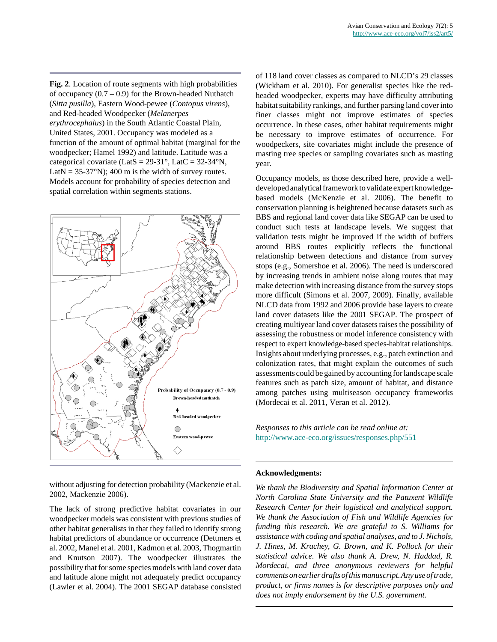**Fig. 2**. Location of route segments with high probabilities of occupancy  $(0.7 - 0.9)$  for the Brown-headed Nuthatch (*Sitta pusilla*), Eastern Wood-pewee (*Contopus virens*), and Red-headed Woodpecker (*Melanerpes erythrocephalus*) in the South Atlantic Coastal Plain, United States, 2001. Occupancy was modeled as a function of the amount of optimal habitat (marginal for the woodpecker; Hamel 1992) and latitude. Latitude was a categorical covariate (LatS =  $29-31^{\circ}$ , LatC =  $32-34^{\circ}N$ , LatN =  $35-37$ °N); 400 m is the width of survey routes. Models account for probability of species detection and spatial correlation within segments stations.



without adjusting for detection probability (Mackenzie et al. 2002, Mackenzie 2006).

The lack of strong predictive habitat covariates in our woodpecker models was consistent with previous studies of other habitat generalists in that they failed to identify strong habitat predictors of abundance or occurrence (Dettmers et al. 2002, Manel et al. 2001, Kadmon et al. 2003, Thogmartin and Knutson 2007). The woodpecker illustrates the possibility that for some species models with land cover data and latitude alone might not adequately predict occupancy (Lawler et al. 2004). The 2001 SEGAP database consisted

of 118 land cover classes as compared to NLCD's 29 classes (Wickham et al. 2010). For generalist species like the redheaded woodpecker, experts may have difficulty attributing habitat suitability rankings, and further parsing land cover into finer classes might not improve estimates of species occurrence. In these cases, other habitat requirements might be necessary to improve estimates of occurrence. For woodpeckers, site covariates might include the presence of masting tree species or sampling covariates such as masting year.

Occupancy models, as those described here, provide a welldeveloped analytical framework to validate expert knowledgebased models (McKenzie et al. 2006). The benefit to conservation planning is heightened because datasets such as BBS and regional land cover data like SEGAP can be used to conduct such tests at landscape levels. We suggest that validation tests might be improved if the width of buffers around BBS routes explicitly reflects the functional relationship between detections and distance from survey stops (e.g., Somershoe et al. 2006). The need is underscored by increasing trends in ambient noise along routes that may make detection with increasing distance from the survey stops more difficult (Simons et al. 2007, 2009). Finally, available NLCD data from 1992 and 2006 provide base layers to create land cover datasets like the 2001 SEGAP. The prospect of creating multiyear land cover datasets raises the possibility of assessing the robustness or model inference consistency with respect to expert knowledge-based species-habitat relationships. Insights about underlying processes, e.g., patch extinction and colonization rates, that might explain the outcomes of such assessments could be gained by accounting for landscape scale features such as patch size, amount of habitat, and distance among patches using multiseason occupancy frameworks (Mordecai et al. 2011, Veran et al. 2012).

*Responses to this article can be read online at:* <http://www.ace-eco.org/issues/responses.php/551>

#### **Acknowledgments:**

*We thank the Biodiversity and Spatial Information Center at North Carolina State University and the Patuxent Wildlife Research Center for their logistical and analytical support. We thank the Association of Fish and Wildlife Agencies for funding this research. We are grateful to S. Williams for assistance with coding and spatial analyses, and to J. Nichols, J. Hines, M. Krachey, G. Brown, and K. Pollock for their statistical advice. We also thank A. Drew, N. Haddad, R. Mordecai, and three anonymous reviewers for helpful comments on earlier drafts of this manuscript. Any use of trade, product, or firms names is for descriptive purposes only and does not imply endorsement by the U.S. government.*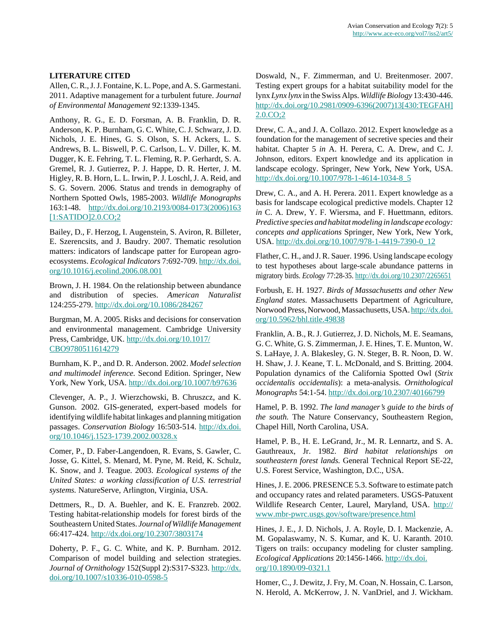## **LITERATURE CITED**

Allen, C. R., J. J. Fontaine, K. L. Pope, and A. S. Garmestani. 2011. Adaptive management for a turbulent future. *Journal of Environmental Management* 92:1339-1345.

Anthony, R. G., E. D. Forsman, A. B. Franklin, D. R. Anderson, K. P. Burnham, G. C. White, C. J. Schwarz, J. D. Nichols, J. E. Hines, G. S. Olson, S. H. Ackers, L. S. Andrews, B. L. Biswell, P. C. Carlson, L. V. Diller, K. M. Dugger, K. E. Fehring, T. L. Fleming, R. P. Gerhardt, S. A. Gremel, R. J. Gutierrez, P. J. Happe, D. R. Herter, J. M. Higley, R. B. Horn, L. L. Irwin, P. J. Loschl, J. A. Reid, and S. G. Sovern. 2006. Status and trends in demography of Northern Spotted Owls, 1985-2003. *Wildlife Monographs* 163:1-48. [http://dx.doi.org/10.2193/0084-0173\(2006\)163](http://dx.doi.org/10.2193/0084-0173(2006)163[1:SATIDO]2.0.CO;2) [\[1:SATIDO\]2.0.CO;2](http://dx.doi.org/10.2193/0084-0173(2006)163[1:SATIDO]2.0.CO;2)

Bailey, D., F. Herzog, I. Augenstein, S. Aviron, R. Billeter, E. Szerencsits, and J. Baudry. 2007. Thematic resolution matters: indicators of landscape patter for European agroecosystems. *Ecological Indicators* 7:692-709. [http://dx.doi.](http://dx.doi.org/10.1016/j.ecolind.2006.08.001) [org/10.1016/j.ecolind.2006.08.001](http://dx.doi.org/10.1016/j.ecolind.2006.08.001)

Brown, J. H. 1984. On the relationship between abundance and distribution of species. *American Naturalist* 124:255-279.<http://dx.doi.org/10.1086/284267>

Burgman, M. A. 2005. Risks and decisions for conservation and environmental management. Cambridge University Press, Cambridge, UK. [http://dx.doi.org/10.1017/](http://dx.doi.org/10.1017/CBO9780511614279) [CBO9780511614279](http://dx.doi.org/10.1017/CBO9780511614279)

Burnham, K. P., and D. R. Anderson. 2002. *Model selection and multimodel inference.* Second Edition. Springer, New York, New York, USA.<http://dx.doi.org/10.1007/b97636>

Clevenger, A. P., J. Wierzchowski, B. Chruszcz, and K. Gunson. 2002. GIS-generated, expert-based models for identifying wildlife habitat linkages and planning mitigation passages. *Conservation Biology* 16:503-514. [http://dx.doi.](http://dx.doi.org/10.1046/j.1523-1739.2002.00328.x) [org/10.1046/j.1523-1739.2002.00328.x](http://dx.doi.org/10.1046/j.1523-1739.2002.00328.x)

Comer, P., D. Faber-Langendoen, R. Evans, S. Gawler, C. Josse, G. Kittel, S. Menard, M. Pyne, M. Reid, K. Schulz, K. Snow, and J. Teague. 2003. *Ecological systems of the United States: a working classification of U.S. terrestrial systems.* NatureServe, Arlington, Virginia, USA.

Dettmers, R., D. A. Buehler, and K. E. Franzreb. 2002. Testing habitat-relationship models for forest birds of the Southeastern United States. *Journal of Wildlife Management* 66:417-424.<http://dx.doi.org/10.2307/3803174>

Doherty, P. F., G. C. White, and K. P. Burnham. 2012. Comparison of model building and selection strategies. *Journal of Ornithology* 152(Suppl 2):S317-S323. [http://dx.](http://dx.doi.org/10.1007/s10336-010-0598-5) [doi.org/10.1007/s10336-010-0598-5](http://dx.doi.org/10.1007/s10336-010-0598-5)

Doswald, N., F. Zimmerman, and U. Breitenmoser. 2007. Testing expert groups for a habitat suitability model for the lynx *Lynx lynx* in the Swiss Alps. *Wildlife Biology* 13:430-446. [http://dx.doi.org/10.2981/0909-6396\(2007\)13\[430:TEGFAH\]](http://dx.doi.org/10.2981/0909-6396(2007)13[430:TEGFAH]2.0.CO;2) [2.0.CO;2](http://dx.doi.org/10.2981/0909-6396(2007)13[430:TEGFAH]2.0.CO;2)

Drew, C. A., and J. A. Collazo. 2012. Expert knowledge as a foundation for the management of secretive species and their habitat. Chapter 5 *in* A. H. Perera, C. A. Drew, and C. J. Johnson, editors. Expert knowledge and its application in landscape ecology. Springer, New York, New York, USA. [http://dx.doi.org/10.1007/978-1-4614-1034-8\\_5](http://dx.doi.org/10.1007/978-1-4614-1034-8_5)

Drew, C. A., and A. H. Perera. 2011. Expert knowledge as a basis for landscape ecological predictive models. Chapter 12 *in* C. A. Drew, Y. F. Wiersma, and F. Huettmann, editors. *Predictive species and habitat modeling in landscape ecology: concepts and applications* Springer, New York, New York, USA. [http://dx.doi.org/10.1007/978-1-4419-7390-0\\_12](http://dx.doi.org/10.1007/978-1-4419-7390-0_12)

Flather, C. H., and J. R. Sauer. 1996. Using landscape ecology to test hypotheses about large-scale abundance patterns in migratory birds. *Ecology* 77:28-35. <http://dx.doi.org/10.2307/2265651>

Forbush, E. H. 1927. *Birds of Massachusetts and other New England states.* Massachusetts Department of Agriculture, Norwood Press, Norwood, Massachusetts, USA. [http://dx.doi.](http://dx.doi.org/10.5962/bhl.title.49838) [org/10.5962/bhl.title.49838](http://dx.doi.org/10.5962/bhl.title.49838)

Franklin, A. B., R. J. Gutierrez, J. D. Nichols, M. E. Seamans, G. C. White, G. S. Zimmerman, J. E. Hines, T. E. Munton, W. S. LaHaye, J. A. Blakesley, G. N. Steger, B. R. Noon, D. W. H. Shaw, J. J. Keane, T. L. McDonald, and S. Britting. 2004. Population dynamics of the California Spotted Owl (*Strix occidentalis occidentalis*): a meta-analysis. *Ornithological Monographs* 54:1-54. <http://dx.doi.org/10.2307/40166799>

Hamel, P. B. 1992. *The land manager's guide to the birds of the south.* The Nature Conservancy, Southeastern Region, Chapel Hill, North Carolina, USA.

Hamel, P. B., H. E. LeGrand, Jr., M. R. Lennartz, and S. A. Gauthreaux, Jr. 1982. *Bird habitat relationships on southeastern forest lands.* General Technical Report SE-22, U.S. Forest Service, Washington, D.C., USA.

Hines, J. E. 2006. PRESENCE 5.3. Software to estimate patch and occupancy rates and related parameters. USGS-Patuxent Wildlife Research Center, Laurel, Maryland, USA. [http://](http://www.mbr-pwrc.usgs.gov/software/presence.html) [www.mbr-pwrc.usgs.gov/software/presence.html](http://www.mbr-pwrc.usgs.gov/software/presence.html)

Hines, J. E., J. D. Nichols, J. A. Royle, D. I. Mackenzie, A. M. Gopalaswamy, N. S. Kumar, and K. U. Karanth. 2010. Tigers on trails: occupancy modeling for cluster sampling. *Ecological Applications* 20:1456-1466. [http://dx.doi.](http://dx.doi.org/10.1890/09-0321.1) [org/10.1890/09-0321.1](http://dx.doi.org/10.1890/09-0321.1)

Homer, C., J. Dewitz, J. Fry, M. Coan, N. Hossain, C. Larson, N. Herold, A. McKerrow, J. N. VanDriel, and J. Wickham.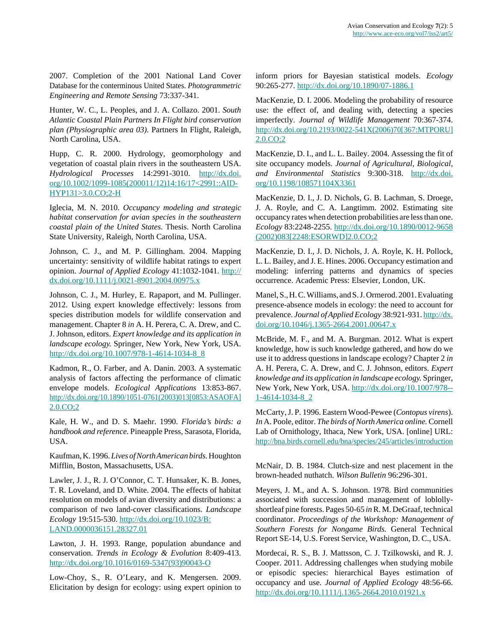2007. Completion of the 2001 National Land Cover Database for the conterminous United States. *Photogrammetric Engineering and Remote Sensing* 73:337-341.

Hunter, W. C., L. Peoples, and J. A. Collazo. 2001. *South Atlantic Coastal Plain Partners In Flight bird conservation plan (Physiographic area 03).* Partners In Flight, Raleigh, North Carolina, USA.

Hupp, C. R. 2000. Hydrology, geomorphology and vegetation of coastal plain rivers in the southeastern USA. *Hydrological Processes* 14:2991-3010. [http://dx.doi.](http://dx.doi.org/10.1002/1099-1085(200011/12)14:16/17<2991::AID-HYP131>3.0.CO;2-H) [org/10.1002/1099-1085\(200011/12\)14:16/17<2991::AID-](http://dx.doi.org/10.1002/1099-1085(200011/12)14:16/17<2991::AID-HYP131>3.0.CO;2-H)[HYP131>3.0.CO;2-H](http://dx.doi.org/10.1002/1099-1085(200011/12)14:16/17<2991::AID-HYP131>3.0.CO;2-H)

Iglecia, M. N. 2010. *Occupancy modeling and strategic habitat conservation for avian species in the southeastern coastal plain of the United States.* Thesis. North Carolina State University, Raleigh, North Carolina, USA.

Johnson, C. J., and M. P. Gillingham. 2004. Mapping uncertainty: sensitivity of wildlife habitat ratings to expert opinion. *Journal of Applied Ecology* 41:1032-1041. [http://](http://dx.doi.org/10.1111/j.0021-8901.2004.00975.x) [dx.doi.org/10.1111/j.0021-8901.2004.00975.x](http://dx.doi.org/10.1111/j.0021-8901.2004.00975.x)

Johnson, C. J., M. Hurley, E. Rapaport, and M. Pullinger. 2012. Using expert knowledge effectively: lessons from species distribution models for wildlife conservation and management. Chapter 8 *in* A. H. Perera, C. A. Drew, and C. J. Johnson, editors. *Expert knowledge and its application in landscape ecology.* Springer, New York, New York, USA. [http://dx.doi.org/10.1007/978-1-4614-1034-8\\_8](http://dx.doi.org/10.1007/978-1-4614-1034-8_8)

Kadmon, R., O. Farber, and A. Danin. 2003. A systematic analysis of factors affecting the performance of climatic envelope models. *Ecological Applications* 13:853-867. [http://dx.doi.org/10.1890/1051-0761\(2003\)013\[0853:ASAOFA\]](http://dx.doi.org/10.1890/1051-0761(2003)013[0853:ASAOFA]2.0.CO;2) [2.0.CO;2](http://dx.doi.org/10.1890/1051-0761(2003)013[0853:ASAOFA]2.0.CO;2)

Kale, H. W., and D. S. Maehr. 1990. *Florida's birds: a handbook and reference.* Pineapple Press, Sarasota, Florida, USA.

Kaufman, K. 1996. *Lives of North American birds.* Houghton Mifflin, Boston, Massachusetts, USA.

Lawler, J. J., R. J. O'Connor, C. T. Hunsaker, K. B. Jones, T. R. Loveland, and D. White. 2004. The effects of habitat resolution on models of avian diversity and distributions: a comparison of two land-cover classifications. *Landscape Ecology* 19:515-530. [http://dx.doi.org/10.1023/B:](http://dx.doi.org/10.1023/B:LAND.0000036151.28327.01) [LAND.0000036151.28327.01](http://dx.doi.org/10.1023/B:LAND.0000036151.28327.01)

Lawton, J. H. 1993. Range, population abundance and conservation. *Trends in Ecology & Evolution* 8:409-413. [http://dx.doi.org/10.1016/0169-5347\(93\)90043-O](http://dx.doi.org/10.1016/0169-5347(93)90043-O)

Low-Choy, S., R. O'Leary, and K. Mengersen. 2009. Elicitation by design for ecology: using expert opinion to inform priors for Bayesian statistical models. *Ecology* 90:265-277.<http://dx.doi.org/10.1890/07-1886.1>

MacKenzie, D. I. 2006. Modeling the probability of resource use: the effect of, and dealing with, detecting a species imperfectly. *Journal of Wildlife Management* 70:367-374. [http://dx.doi.org/10.2193/0022-541X\(2006\)70\[367:MTPORU\]](http://dx.doi.org/10.2193/0022-541X(2006)70[367:MTPORU]2.0.CO;2) [2.0.CO;2](http://dx.doi.org/10.2193/0022-541X(2006)70[367:MTPORU]2.0.CO;2)

MacKenzie, D. I., and L. L. Bailey. 2004. Assessing the fit of site occupancy models. *Journal of Agricultural, Biological, and Environmental Statistics* 9:300-318. [http://dx.doi.](http://dx.doi.org/10.1198/108571104X3361) [org/10.1198/108571104X3361](http://dx.doi.org/10.1198/108571104X3361)

MacKenzie, D. I., J. D. Nichols, G. B. Lachman, S. Droege, J. A. Royle, and C. A. Langtimm. 2002. Estimating site occupancy rates when detection probabilities are less than one. *Ecology* 83:2248-2255. [http://dx.doi.org/10.1890/0012-9658](http://dx.doi.org/10.1890/0012-9658(2002)083[2248:ESORWD]2.0.CO;2) [\(2002\)083\[2248:ESORWD\]2.0.CO;2](http://dx.doi.org/10.1890/0012-9658(2002)083[2248:ESORWD]2.0.CO;2)

MacKenzie, D. I., J. D. Nichols, J. A. Royle, K. H. Pollock, L. L. Bailey, and J. E. Hines. 2006. Occupancy estimation and modeling: inferring patterns and dynamics of species occurrence. Academic Press: Elsevier, London, UK.

Manel, S., H. C. Williams, and S. J. Ormerod. 2001. Evaluating presence-absence models in ecology: the need to account for prevalence. *Journal of Applied Ecology* 38:921-931. [http://dx.](http://dx.doi.org/10.1046/j.1365-2664.2001.00647.x) [doi.org/10.1046/j.1365-2664.2001.00647.x](http://dx.doi.org/10.1046/j.1365-2664.2001.00647.x)

McBride, M. F., and M. A. Burgman. 2012. What is expert knowledge, how is such knowledge gathered, and how do we use it to address questions in landscape ecology? Chapter 2 *in* A. H. Perera, C. A. Drew, and C. J. Johnson, editors. *Expert knowledge and its application in landscape ecology.* Springer, New York, New York, USA. [http://dx.doi.org/10.1007/978--](http://dx.doi.org/10.1007/978-1-4614-1034-8_2) [1-4614-1034-8\\_2](http://dx.doi.org/10.1007/978-1-4614-1034-8_2)

McCarty, J. P. 1996. Eastern Wood-Pewee (*Contopus virens*). *In* A. Poole, editor. *The birds of North America online.* Cornell Lab of Ornithology, Ithaca, New York, USA. [online] URL: <http://bna.birds.cornell.edu/bna/species/245/articles/introduction>

McNair, D. B. 1984. Clutch-size and nest placement in the brown-headed nuthatch. *Wilson Bulletin* 96:296-301.

Meyers, J. M., and A. S. Johnson. 1978. Bird communities associated with succession and management of loblollyshortleaf pine forests. Pages 50-65 *in* R. M. DeGraaf, technical coordinator. *Proceedings of the Workshop: Management of Southern Forests for Nongame Birds.* General Technical Report SE-14, U.S. Forest Service, Washington, D. C., USA.

Mordecai, R. S., B. J. Mattsson, C. J. Tzilkowski, and R. J. Cooper. 2011. Addressing challenges when studying mobile or episodic species: hierarchical Bayes estimation of occupancy and use. *Journal of Applied Ecology* 48:56-66. <http://dx.doi.org/10.1111/j.1365-2664.2010.01921.x>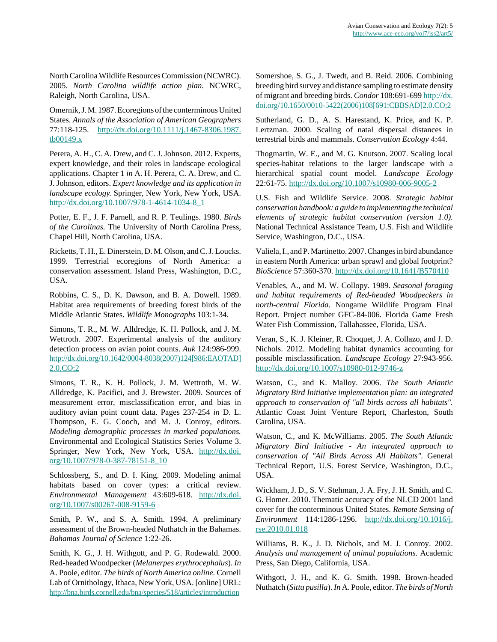North Carolina Wildlife Resources Commission (NCWRC). 2005. *North Carolina wildlife action plan.* NCWRC, Raleigh, North Carolina, USA.

Omernik, J. M. 1987. Ecoregions of the conterminous United States. *Annals of the Association of American Geographers* 77:118-125. [http://dx.doi.org/10.1111/j.1467-8306.1987.](http://dx.doi.org/10.1111/j.1467-8306.1987.tb00149.x) [tb00149.x](http://dx.doi.org/10.1111/j.1467-8306.1987.tb00149.x)

Perera, A. H., C. A. Drew, and C. J. Johnson. 2012. Experts, expert knowledge, and their roles in landscape ecological applications. Chapter 1 *in* A. H. Perera, C. A. Drew, and C. J. Johnson, editors. *Expert knowledge and its application in landscape ecology.* Springer, New York, New York, USA. [http://dx.doi.org/10.1007/978-1-4614-1034-8\\_1](http://dx.doi.org/10.1007/978-1-4614-1034-8_1)

Potter, E. F., J. F. Parnell, and R. P. Teulings. 1980. *Birds of the Carolinas.* The University of North Carolina Press, Chapel Hill, North Carolina, USA.

Ricketts, T. H., E. Dinerstein, D. M. Olson, and C. J. Loucks. 1999. Terrestrial ecoregions of North America: a conservation assessment. Island Press, Washington, D.C., USA.

Robbins, C. S., D. K. Dawson, and B. A. Dowell. 1989. Habitat area requirements of breeding forest birds of the Middle Atlantic States. *Wildlife Monographs* 103:1-34.

Simons, T. R., M. W. Alldredge, K. H. Pollock, and J. M. Wettroth. 2007. Experimental analysis of the auditory detection process on avian point counts. *Auk* 124:986-999. [http://dx.doi.org/10.1642/0004-8038\(2007\)124\[986:EAOTAD\]](http://dx.doi.org/10.1642/0004-8038(2007)124[986:EAOTAD]2.0.CO;2) [2.0.CO;2](http://dx.doi.org/10.1642/0004-8038(2007)124[986:EAOTAD]2.0.CO;2)

Simons, T. R., K. H. Pollock, J. M. Wettroth, M. W. Alldredge, K. Pacifici, and J. Brewster. 2009. Sources of measurement error, misclassification error, and bias in auditory avian point count data. Pages 237-254 *in* D. L. Thompson, E. G. Cooch, and M. J. Conroy, editors. *Modeling demographic processes in marked populations.* Environmental and Ecological Statistics Series Volume 3. Springer, New York, New York, USA. [http://dx.doi.](http://dx.doi.org/10.1007/978-0-387-78151-8_10) [org/10.1007/978-0-387-78151-8\\_10](http://dx.doi.org/10.1007/978-0-387-78151-8_10)

Schlossberg, S., and D. I. King. 2009. Modeling animal habitats based on cover types: a critical review. *Environmental Management* 43:609-618. [http://dx.doi.](http://dx.doi.org/10.1007/s00267-008-9159-6) [org/10.1007/s00267-008-9159-6](http://dx.doi.org/10.1007/s00267-008-9159-6)

Smith, P. W., and S. A. Smith. 1994. A preliminary assessment of the Brown-headed Nuthatch in the Bahamas. *Bahamas Journal of Science* 1:22-26.

Smith, K. G., J. H. Withgott, and P. G. Rodewald. 2000. Red-headed Woodpecker (*Melanerpes erythrocephalus*). *In* A. Poole, editor. *The birds of North America online.* Cornell Lab of Ornithology, Ithaca, New York, USA. [online] URL: <http://bna.birds.cornell.edu/bna/species/518/articles/introduction>

Somershoe, S. G., J. Twedt, and B. Reid. 2006. Combining breeding bird survey and distance sampling to estimate density of migrant and breeding birds. *Condor* 108:691-699 [http://dx.](http://dx.doi.org/10.1650/0010-5422(2006)108[691:CBBSAD]2.0.CO;2) [doi.org/10.1650/0010-5422\(2006\)108\[691:CBBSAD\]2.0.CO;2](http://dx.doi.org/10.1650/0010-5422(2006)108[691:CBBSAD]2.0.CO;2)

Sutherland, G. D., A. S. Harestand, K. Price, and K. P. Lertzman. 2000. Scaling of natal dispersal distances in terrestrial birds and mammals. *Conservation Ecology* 4:44.

Thogmartin, W. E., and M. G. Knutson. 2007. Scaling local species-habitat relations to the larger landscape with a hierarchical spatial count model. *Landscape Ecology* 22:61-75.<http://dx.doi.org/10.1007/s10980-006-9005-2>

U.S. Fish and Wildlife Service. 2008. *Strategic habitat conservation handbook: a guide to implementing the technical elements of strategic habitat conservation (version 1.0).* National Technical Assistance Team, U.S. Fish and Wildlife Service, Washington, D.C., USA.

Valiela, I., and P. Martinetto. 2007. Changes in bird abundance in eastern North America: urban sprawl and global footprint? *BioScience* 57:360-370.<http://dx.doi.org/10.1641/B570410>

Venables, A., and M. W. Collopy. 1989. *Seasonal foraging and habitat requirements of Red-headed Woodpeckers in north-central Florida.* Nongame Wildlife Program Final Report. Project number GFC-84-006. Florida Game Fresh Water Fish Commission, Tallahassee, Florida, USA.

Veran, S., K. J. Kleiner, R. Choquet, J. A. Collazo, and J. D. Nichols. 2012. Modeling habitat dynamics accounting for possible misclassification. *Landscape Ecology* 27:943-956. <http://dx.doi.org/10.1007/s10980-012-9746-z>

Watson, C., and K. Malloy. 2006. *The South Atlantic Migratory Bird Initiative implementation plan: an integrated approach to conservation of "all birds across all habitats".* Atlantic Coast Joint Venture Report, Charleston, South Carolina, USA.

Watson, C., and K. McWilliams. 2005. *The South Atlantic Migratory Bird Initiative - An integrated approach to conservation of "All Birds Across All Habitats".* General Technical Report, U.S. Forest Service, Washington, D.C., USA.

Wickham, J. D., S. V. Stehman, J. A. Fry, J. H. Smith, and C. G. Homer. 2010. Thematic accuracy of the NLCD 2001 land cover for the conterminous United States. *Remote Sensing of Environment* 114:1286-1296. [http://dx.doi.org/10.1016/j.](http://dx.doi.org/10.1016/j.rse.2010.01.018) [rse.2010.01.018](http://dx.doi.org/10.1016/j.rse.2010.01.018)

Williams, B. K., J. D. Nichols, and M. J. Conroy. 2002. *Analysis and management of animal populations.* Academic Press, San Diego, California, USA.

Withgott, J. H., and K. G. Smith. 1998. Brown-headed Nuthatch (*Sitta pusilla*). *In* A. Poole, editor. *The birds of North*